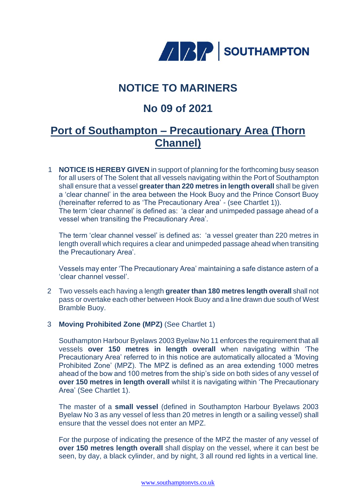

# **NOTICE TO MARINERS**

# **No 09 of 2021**

## **Port of Southampton – Precautionary Area (Thorn Channel)**

1 **NOTICE IS HEREBY GIVEN** in support of planning for the forthcoming busy season for all users of The Solent that all vessels navigating within the Port of Southampton shall ensure that a vessel **greater than 220 metres in length overall** shall be given a 'clear channel' in the area between the Hook Buoy and the Prince Consort Buoy (hereinafter referred to as 'The Precautionary Area' - (see Chartlet 1)). The term 'clear channel' is defined as: 'a clear and unimpeded passage ahead of a vessel when transiting the Precautionary Area'.

The term 'clear channel vessel' is defined as: 'a vessel greater than 220 metres in length overall which requires a clear and unimpeded passage ahead when transiting the Precautionary Area'.

Vessels may enter 'The Precautionary Area' maintaining a safe distance astern of a 'clear channel vessel'.

- 2 Two vessels each having a length **greater than 180 metres length overall** shall not pass or overtake each other between Hook Buoy and a line drawn due south of West Bramble Buoy.
- 3 **Moving Prohibited Zone (MPZ)** (See Chartlet 1)

Southampton Harbour Byelaws 2003 Byelaw No 11 enforces the requirement that all vessels **over 150 metres in length overall** when navigating within 'The Precautionary Area' referred to in this notice are automatically allocated a 'Moving Prohibited Zone' (MPZ). The MPZ is defined as an area extending 1000 metres ahead of the bow and 100 metres from the ship's side on both sides of any vessel of **over 150 metres in length overall** whilst it is navigating within 'The Precautionary Area' (See Chartlet 1).

The master of a **small vessel** (defined in Southampton Harbour Byelaws 2003 Byelaw No 3 as any vessel of less than 20 metres in length or a sailing vessel) shall ensure that the vessel does not enter an MPZ.

For the purpose of indicating the presence of the MPZ the master of any vessel of **over 150 metres length overall** shall display on the vessel, where it can best be seen, by day, a black cylinder, and by night, 3 all round red lights in a vertical line.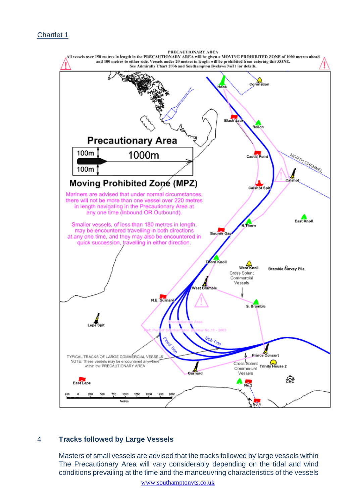### Chartlet 1



### 4 **Tracks followed by Large Vessels**

Masters of small vessels are advised that the tracks followed by large vessels within The Precautionary Area will vary considerably depending on the tidal and wind conditions prevailing at the time and the manoeuvring characteristics of the vessels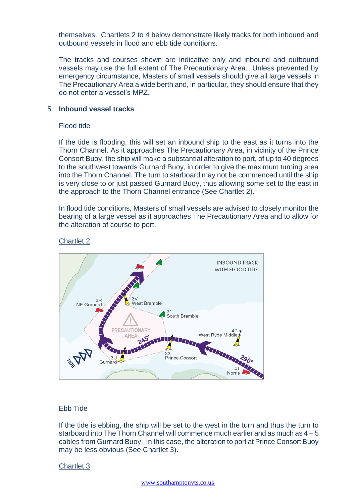themselves. Chartlets 2 to 4 below demonstrate likely tracks for both inbound and outbound vessels in flood and ebb tide conditions.

The tracks and courses shown are indicative only and inbound and outbound vessels may use the full extent of The Precautionary Area. Unless prevented by emergency circumstance, Masters of small vessels should give all large vessels in The Precautionary Area a wide berth and, in particular, they should ensure that they do not enter a vessel's MPZ.

#### 5 **Inbound vessel tracks**

#### Flood tide

If the tide is flooding, this will set an inbound ship to the east as it turns into the Thorn Channel. As it approaches The Precautionary Area, in vicinity of the Prince Consort Buoy, the ship will make a substantial alteration to port, of up to 40 degrees to the southwest towards Gurnard Buoy, in order to give the maximum turning area into the Thorn Channel. The turn to starboard may not be commenced until the ship is very close to or just passed Gurnard Buoy, thus allowing some set to the east in the approach to the Thorn Channel entrance (See Chartlet 2).

In flood tide conditions, Masters of small vessels are advised to closely monitor the bearing of a large vessel as it approaches The Precautionary Area and to allow for the alteration of course to port.

#### Chartlet 2



#### Ebb Tide

If the tide is ebbing, the ship will be set to the west in the turn and thus the turn to starboard into The Thorn Channel will commence much earlier and as much as  $4-5$ cables from Gurnard Buoy. In this case, the alteration to port at Prince Consort Buoy may be less obvious (See Chartlet 3).

#### Chartlet 3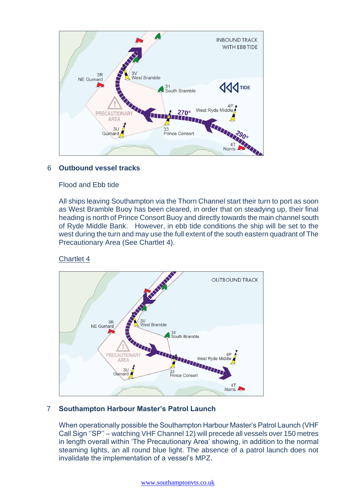

## 6 **Outbound vessel tracks**

### Flood and Ebb tide

All ships leaving Southampton via the Thorn Channel start their turn to port as soon as West Bramble Buoy has been cleared, in order that on steadying up, their final heading is north of Prince Consort Buoy and directly towards the main channel south of Ryde Middle Bank. However, in ebb tide conditions the ship will be set to the west during the turn and may use the full extent of the south eastern quadrant of The Precautionary Area (See Chartlet 4).

## Chartlet 4



## 7 **Southampton Harbour Master's Patrol Launch**

When operationally possible the Southampton Harbour Master's Patrol Launch (VHF Call Sign ''SP'' – watching VHF Channel 12) will precede all vessels over 150 metres in length overall within 'The Precautionary Area' showing, in addition to the normal steaming lights, an all round blue light. The absence of a patrol launch does not invalidate the implementation of a vessel's MPZ.